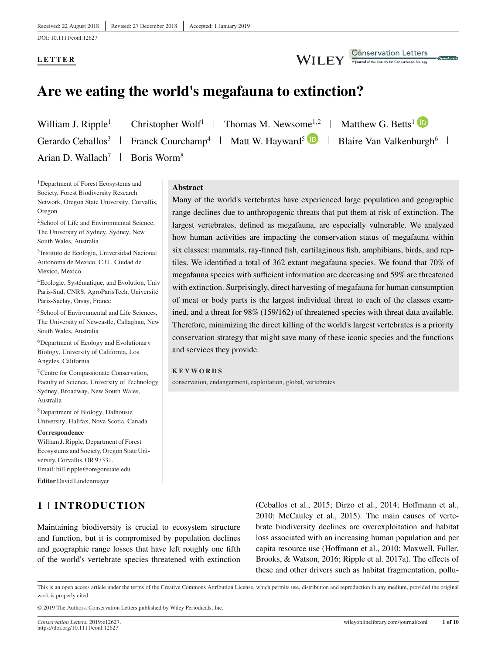DOI: 10.1111/conl.12627

# **LETTER**

Conservation Letters **WILEY** 

# **Are we eating the world's megafauna to extinction?**

Gerardo Ceballos<sup>3</sup> Franck Courchamp<sup>4</sup> | Matt W. Hayward<sup>5</sup> **D** | Blaire Van Valkenburgh<sup>6</sup> | Arian D. Wallach<sup>7</sup> | Boris Worm<sup>8</sup>

William J. Ripple<sup>1</sup> | Christopher Wolf<sup>1</sup> | Thomas M. Newsome<sup>1,2</sup> | Matthew G. Betts<sup>1</sup> **ID** 

<sup>1</sup>Department of Forest Ecosystems and Society, Forest Biodiversity Research Network, Oregon State University, Corvallis, Oregon

2School of Life and Environmental Science, The University of Sydney, Sydney, New South Wales, Australia

3Instituto de Ecologia, Universidad Nacional Autonoma de Mexico, C.U., Ciudad de Mexico, Mexico

4Ecologie, Systématique, and Evolution, Univ Paris-Sud, CNRS, AgroParisTech, Université Paris-Saclay, Orsay, France

5School of Environmental and Life Sciences, The University of Newcastle, Callaghan, New South Wales, Australia

6Department of Ecology and Evolutionary Biology, University of California, Los Angeles, California

7Centre for Compassionate Conservation, Faculty of Science, University of Technology Sydney, Broadway, New South Wales, Australia

8Department of Biology, Dalhousie University, Halifax, Nova Scotia, Canada

**Correspondence**

William J. Ripple, Department of Forest Ecosystems and Society, Oregon State University, Corvallis, OR 97331. Email: bill.ripple@oregonstate.edu

**Editor** David Lindenmayer

# **1 INTRODUCTION**

**Abstract**

Many of the world's vertebrates have experienced large population and geographic range declines due to anthropogenic threats that put them at risk of extinction. The largest vertebrates, defined as megafauna, are especially vulnerable. We analyzed how human activities are impacting the conservation status of megafauna within six classes: mammals, ray-finned fish, cartilaginous fish, amphibians, birds, and reptiles. We identified a total of 362 extant megafauna species. We found that 70% of megafauna species with sufficient information are decreasing and 59% are threatened with extinction. Surprisingly, direct harvesting of megafauna for human consumption of meat or body parts is the largest individual threat to each of the classes examined, and a threat for 98% (159/162) of threatened species with threat data available. Therefore, minimizing the direct killing of the world's largest vertebrates is a priority conservation strategy that might save many of these iconic species and the functions and services they provide.

### **KEYWORDS**

conservation, endangerment, exploitation, global, vertebrates

Maintaining biodiversity is crucial to ecosystem structure and function, but it is compromised by population declines and geographic range losses that have left roughly one fifth of the world's vertebrate species threatened with extinction (Ceballos et al., 2015; Dirzo et al., 2014; Hoffmann et al., 2010; McCauley et al., 2015). The main causes of vertebrate biodiversity declines are overexploitation and habitat loss associated with an increasing human population and per capita resource use (Hoffmann et al., 2010; Maxwell, Fuller, Brooks, & Watson, 2016; Ripple et al. 2017a). The effects of these and other drivers such as habitat fragmentation, pollu-

© 2019 The Authors. Conservation Letters published by Wiley Periodicals, Inc.

This is an open access article under the terms of the [Creative Commons Attribution](http://creativecommons.org/licenses/by/4.0/) License, which permits use, distribution and reproduction in any medium, provided the original work is properly cited.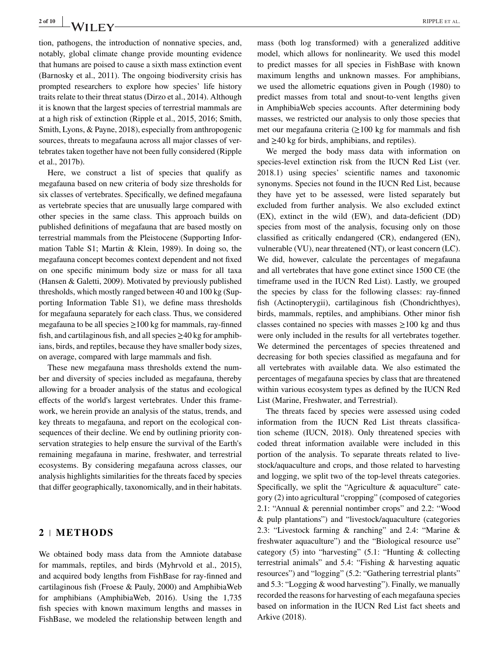tion, pathogens, the introduction of nonnative species, and, notably, global climate change provide mounting evidence that humans are poised to cause a sixth mass extinction event (Barnosky et al., 2011). The ongoing biodiversity crisis has prompted researchers to explore how species' life history traits relate to their threat status (Dirzo et al., 2014). Although it is known that the largest species of terrestrial mammals are at a high risk of extinction (Ripple et al., 2015, 2016; Smith, Smith, Lyons, & Payne, 2018), especially from anthropogenic sources, threats to megafauna across all major classes of vertebrates taken together have not been fully considered (Ripple et al., 2017b).

Here, we construct a list of species that qualify as megafauna based on new criteria of body size thresholds for six classes of vertebrates. Specifically, we defined megafauna as vertebrate species that are unusually large compared with other species in the same class. This approach builds on published definitions of megafauna that are based mostly on terrestrial mammals from the Pleistocene (Supporting Information Table S1; Martin & Klein, 1989). In doing so, the megafauna concept becomes context dependent and not fixed on one specific minimum body size or mass for all taxa (Hansen & Galetti, 2009). Motivated by previously published thresholds, which mostly ranged between 40 and 100 kg (Supporting Information Table S1), we define mass thresholds for megafauna separately for each class. Thus, we considered megafauna to be all species  $\geq$  100 kg for mammals, ray-finned fish, and cartilaginous fish, and all species  $\geq$ 40 kg for amphibians, birds, and reptiles, because they have smaller body sizes, on average, compared with large mammals and fish.

These new megafauna mass thresholds extend the number and diversity of species included as megafauna, thereby allowing for a broader analysis of the status and ecological effects of the world's largest vertebrates. Under this framework, we herein provide an analysis of the status, trends, and key threats to megafauna, and report on the ecological consequences of their decline. We end by outlining priority conservation strategies to help ensure the survival of the Earth's remaining megafauna in marine, freshwater, and terrestrial ecosystems. By considering megafauna across classes, our analysis highlights similarities for the threats faced by species that differ geographically, taxonomically, and in their habitats.

# **2 METHODS**

We obtained body mass data from the Amniote database for mammals, reptiles, and birds (Myhrvold et al., 2015), and acquired body lengths from FishBase for ray-finned and cartilaginous fish (Froese & Pauly, 2000) and AmphibiaWeb for amphibians (AmphibiaWeb, 2016). Using the 1,735 fish species with known maximum lengths and masses in FishBase, we modeled the relationship between length and mass (both log transformed) with a generalized additive model, which allows for nonlinearity. We used this model to predict masses for all species in FishBase with known maximum lengths and unknown masses. For amphibians, we used the allometric equations given in Pough (1980) to predict masses from total and snout-to-vent lengths given in AmphibiaWeb species accounts. After determining body masses, we restricted our analysis to only those species that met our megafauna criteria (≥100 kg for mammals and fish and  $\geq$ 40 kg for birds, amphibians, and reptiles).

We merged the body mass data with information on species-level extinction risk from the IUCN Red List (ver. 2018.1) using species' scientific names and taxonomic synonyms. Species not found in the IUCN Red List, because they have yet to be assessed, were listed separately but excluded from further analysis. We also excluded extinct (EX), extinct in the wild (EW), and data-deficient (DD) species from most of the analysis, focusing only on those classified as critically endangered (CR), endangered (EN), vulnerable (VU), near threatened (NT), or least concern (LC). We did, however, calculate the percentages of megafauna and all vertebrates that have gone extinct since 1500 CE (the timeframe used in the IUCN Red List). Lastly, we grouped the species by class for the following classes: ray-finned fish (Actinopterygii), cartilaginous fish (Chondrichthyes), birds, mammals, reptiles, and amphibians. Other minor fish classes contained no species with masses  $\geq 100$  kg and thus were only included in the results for all vertebrates together. We determined the percentages of species threatened and decreasing for both species classified as megafauna and for all vertebrates with available data. We also estimated the percentages of megafauna species by class that are threatened within various ecosystem types as defined by the IUCN Red List (Marine, Freshwater, and Terrestrial).

The threats faced by species were assessed using coded information from the IUCN Red List threats classification scheme (IUCN, 2018). Only threatened species with coded threat information available were included in this portion of the analysis. To separate threats related to livestock/aquaculture and crops, and those related to harvesting and logging, we split two of the top-level threats categories. Specifically, we split the "Agriculture & aquaculture" category (2) into agricultural "cropping" (composed of categories 2.1: "Annual & perennial nontimber crops" and 2.2: "Wood & pulp plantations") and "livestock/aquaculture (categories 2.3: "Livestock farming & ranching" and 2.4: "Marine & freshwater aquaculture") and the "Biological resource use" category (5) into "harvesting" (5.1: "Hunting & collecting terrestrial animals" and 5.4: "Fishing & harvesting aquatic resources") and "logging" (5.2: "Gathering terrestrial plants" and 5.3: "Logging & wood harvesting"). Finally, we manually recorded the reasons for harvesting of each megafauna species based on information in the IUCN Red List fact sheets and Arkive (2018).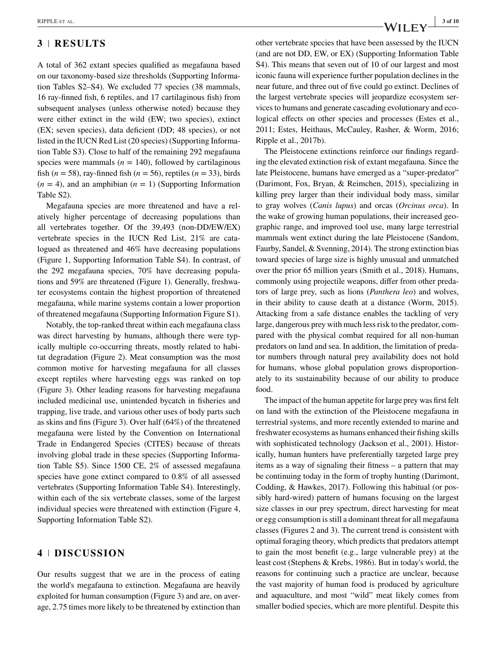# **3 RESULTS**

A total of 362 extant species qualified as megafauna based on our taxonomy-based size thresholds (Supporting Information Tables S2–S4). We excluded 77 species (38 mammals, 16 ray-finned fish, 6 reptiles, and 17 cartilaginous fish) from subsequent analyses (unless otherwise noted) because they were either extinct in the wild (EW; two species), extinct (EX; seven species), data deficient (DD; 48 species), or not listed in the IUCN Red List (20 species) (Supporting Information Table S3). Close to half of the remaining 292 megafauna species were mammals  $(n = 140)$ , followed by cartilaginous fish ( $n = 58$ ), ray-finned fish ( $n = 56$ ), reptiles ( $n = 33$ ), birds  $(n = 4)$ , and an amphibian  $(n = 1)$  (Supporting Information Table S2).

Megafauna species are more threatened and have a relatively higher percentage of decreasing populations than all vertebrates together. Of the 39,493 (non-DD/EW/EX) vertebrate species in the IUCN Red List, 21% are catalogued as threatened and 46% have decreasing populations (Figure 1, Supporting Information Table S4). In contrast, of the 292 megafauna species, 70% have decreasing populations and 59% are threatened (Figure 1). Generally, freshwater ecosystems contain the highest proportion of threatened megafauna, while marine systems contain a lower proportion of threatened megafauna (Supporting Information Figure S1).

Notably, the top-ranked threat within each megafauna class was direct harvesting by humans, although there were typically multiple co-occurring threats, mostly related to habitat degradation (Figure 2). Meat consumption was the most common motive for harvesting megafauna for all classes except reptiles where harvesting eggs was ranked on top (Figure 3). Other leading reasons for harvesting megafauna included medicinal use, unintended bycatch in fisheries and trapping, live trade, and various other uses of body parts such as skins and fins (Figure 3). Over half (64%) of the threatened megafauna were listed by the Convention on International Trade in Endangered Species (CITES) because of threats involving global trade in these species (Supporting Information Table S5). Since 1500 CE, 2% of assessed megafauna species have gone extinct compared to 0.8% of all assessed vertebrates (Supporting Information Table S4). Interestingly, within each of the six vertebrate classes, some of the largest individual species were threatened with extinction (Figure 4, Supporting Information Table S2).

### **4 DISCUSSION**

Our results suggest that we are in the process of eating the world's megafauna to extinction. Megafauna are heavily exploited for human consumption (Figure 3) and are, on average, 2.75 times more likely to be threatened by extinction than other vertebrate species that have been assessed by the IUCN (and are not DD, EW, or EX) (Supporting Information Table S4). This means that seven out of 10 of our largest and most iconic fauna will experience further population declines in the near future, and three out of five could go extinct. Declines of the largest vertebrate species will jeopardize ecosystem services to humans and generate cascading evolutionary and ecological effects on other species and processes (Estes et al., 2011; Estes, Heithaus, McCauley, Rasher, & Worm, 2016; Ripple et al., 2017b).

The Pleistocene extinctions reinforce our findings regarding the elevated extinction risk of extant megafauna. Since the late Pleistocene, humans have emerged as a "super-predator" (Darimont, Fox, Bryan, & Reimchen, 2015), specializing in killing prey larger than their individual body mass, similar to gray wolves (*Canis lupus*) and orcas (*Orcinus orca*). In the wake of growing human populations, their increased geographic range, and improved tool use, many large terrestrial mammals went extinct during the late Pleistocene (Sandom, Faurby, Sandel, & Svenning, 2014). The strong extinction bias toward species of large size is highly unusual and unmatched over the prior 65 million years (Smith et al., 2018). Humans, commonly using projectile weapons, differ from other predators of large prey, such as lions (*Panthera leo*) and wolves, in their ability to cause death at a distance (Worm, 2015). Attacking from a safe distance enables the tackling of very large, dangerous prey with much less risk to the predator, compared with the physical combat required for all non-human predators on land and sea. In addition, the limitation of predator numbers through natural prey availability does not hold for humans, whose global population grows disproportionately to its sustainability because of our ability to produce food.

The impact of the human appetite for large prey was first felt on land with the extinction of the Pleistocene megafauna in terrestrial systems, and more recently extended to marine and freshwater ecosystems as humans enhanced their fishing skills with sophisticated technology (Jackson et al., 2001). Historically, human hunters have preferentially targeted large prey items as a way of signaling their fitness – a pattern that may be continuing today in the form of trophy hunting (Darimont, Codding, & Hawkes, 2017). Following this habitual (or possibly hard-wired) pattern of humans focusing on the largest size classes in our prey spectrum, direct harvesting for meat or egg consumption is still a dominant threat for all megafauna classes (Figures 2 and 3). The current trend is consistent with optimal foraging theory, which predicts that predators attempt to gain the most benefit (e.g., large vulnerable prey) at the least cost (Stephens & Krebs, 1986). But in today's world, the reasons for continuing such a practice are unclear, because the vast majority of human food is produced by agriculture and aquaculture, and most "wild" meat likely comes from smaller bodied species, which are more plentiful. Despite this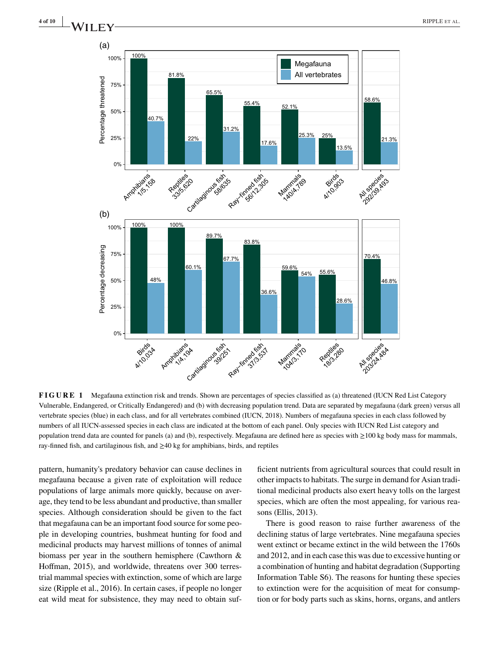

**FIGURE 1** Megafauna extinction risk and trends. Shown are percentages of species classified as (a) threatened (IUCN Red List Category Vulnerable, Endangered, or Critically Endangered) and (b) with decreasing population trend. Data are separated by megafauna (dark green) versus all vertebrate species (blue) in each class, and for all vertebrates combined (IUCN, 2018). Numbers of megafauna species in each class followed by numbers of all IUCN-assessed species in each class are indicated at the bottom of each panel. Only species with IUCN Red List category and population trend data are counted for panels (a) and (b), respectively. Megafauna are defined here as species with ≥100 kg body mass for mammals, ray-finned fish, and cartilaginous fish, and ≥40 kg for amphibians, birds, and reptiles

pattern, humanity's predatory behavior can cause declines in megafauna because a given rate of exploitation will reduce populations of large animals more quickly, because on average, they tend to be less abundant and productive, than smaller species. Although consideration should be given to the fact that megafauna can be an important food source for some people in developing countries, bushmeat hunting for food and medicinal products may harvest millions of tonnes of animal biomass per year in the southern hemisphere (Cawthorn & Hoffman, 2015), and worldwide, threatens over 300 terrestrial mammal species with extinction, some of which are large size (Ripple et al., 2016). In certain cases, if people no longer eat wild meat for subsistence, they may need to obtain sufficient nutrients from agricultural sources that could result in other impacts to habitats. The surge in demand for Asian traditional medicinal products also exert heavy tolls on the largest species, which are often the most appealing, for various reasons (Ellis, 2013).

There is good reason to raise further awareness of the declining status of large vertebrates. Nine megafauna species went extinct or became extinct in the wild between the 1760s and 2012, and in each case this was due to excessive hunting or a combination of hunting and habitat degradation (Supporting Information Table S6). The reasons for hunting these species to extinction were for the acquisition of meat for consumption or for body parts such as skins, horns, organs, and antlers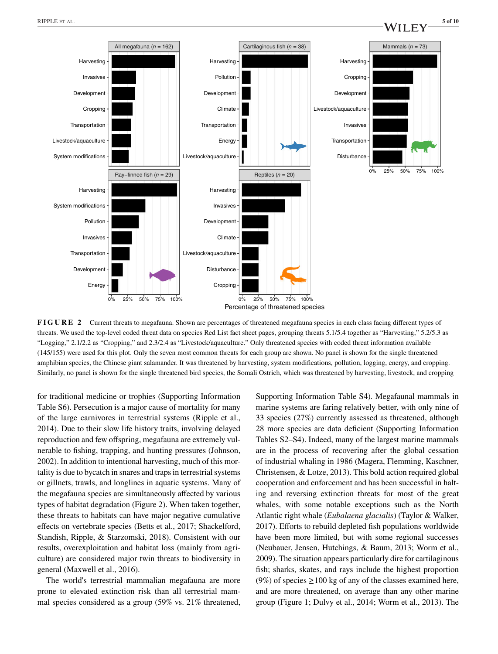

**FIGURE 2** Current threats to megafauna. Shown are percentages of threatened megafauna species in each class facing different types of threats. We used the top-level coded threat data on species Red List fact sheet pages, grouping threats 5.1/5.4 together as "Harvesting," 5.2/5.3 as "Logging," 2.1/2.2 as "Cropping," and 2.3/2.4 as "Livestock/aquaculture." Only threatened species with coded threat information available (145/155) were used for this plot. Only the seven most common threats for each group are shown. No panel is shown for the single threatened amphibian species, the Chinese giant salamander. It was threatened by harvesting, system modifications, pollution, logging, energy, and cropping. Similarly, no panel is shown for the single threatened bird species, the Somali Ostrich, which was threatened by harvesting, livestock, and cropping

for traditional medicine or trophies (Supporting Information Table S6). Persecution is a major cause of mortality for many of the large carnivores in terrestrial systems (Ripple et al., 2014). Due to their slow life history traits, involving delayed reproduction and few offspring, megafauna are extremely vulnerable to fishing, trapping, and hunting pressures (Johnson, 2002). In addition to intentional harvesting, much of this mortality is due to bycatch in snares and traps in terrestrial systems or gillnets, trawls, and longlines in aquatic systems. Many of the megafauna species are simultaneously affected by various types of habitat degradation (Figure 2). When taken together, these threats to habitats can have major negative cumulative effects on vertebrate species (Betts et al., 2017; Shackelford, Standish, Ripple, & Starzomski, 2018). Consistent with our results, overexploitation and habitat loss (mainly from agriculture) are considered major twin threats to biodiversity in general (Maxwell et al., 2016).

The world's terrestrial mammalian megafauna are more prone to elevated extinction risk than all terrestrial mammal species considered as a group (59% vs. 21% threatened, Supporting Information Table S4). Megafaunal mammals in marine systems are faring relatively better, with only nine of 33 species (27%) currently assessed as threatened, although 28 more species are data deficient (Supporting Information Tables S2–S4). Indeed, many of the largest marine mammals are in the process of recovering after the global cessation of industrial whaling in 1986 (Magera, Flemming, Kaschner, Christensen, & Lotze, 2013). This bold action required global cooperation and enforcement and has been successful in halting and reversing extinction threats for most of the great whales, with some notable exceptions such as the North Atlantic right whale (*Eubalaena glacialis*) (Taylor & Walker, 2017). Efforts to rebuild depleted fish populations worldwide have been more limited, but with some regional successes (Neubauer, Jensen, Hutchings, & Baum, 2013; Worm et al., 2009). The situation appears particularly dire for cartilaginous fish; sharks, skates, and rays include the highest proportion (9%) of species  $\geq$ 100 kg of any of the classes examined here, and are more threatened, on average than any other marine group (Figure 1; Dulvy et al., 2014; Worm et al., 2013). The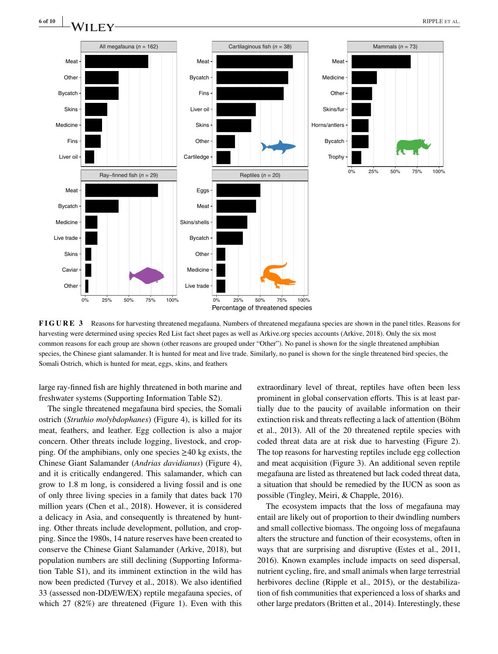

**FIGURE 3** Reasons for harvesting threatened megafauna. Numbers of threatened megafauna species are shown in the panel titles. Reasons for harvesting were determined using species Red List fact sheet pages as well as Arkive.org species accounts (Arkive, 2018). Only the six most common reasons for each group are shown (other reasons are grouped under "Other"). No panel is shown for the single threatened amphibian species, the Chinese giant salamander. It is hunted for meat and live trade. Similarly, no panel is shown for the single threatened bird species, the Somali Ostrich, which is hunted for meat, eggs, skins, and feathers

large ray-finned fish are highly threatened in both marine and freshwater systems (Supporting Information Table S2).

The single threatened megafauna bird species, the Somali ostrich (*Struthio molybdophanes*) (Figure 4), is killed for its meat, feathers, and leather. Egg collection is also a major concern. Other threats include logging, livestock, and cropping. Of the amphibians, only one species  $\geq 40$  kg exists, the Chinese Giant Salamander (*Andrias davidianus*) (Figure 4), and it is critically endangered. This salamander, which can grow to 1.8 m long, is considered a living fossil and is one of only three living species in a family that dates back 170 million years (Chen et al., 2018). However, it is considered a delicacy in Asia, and consequently is threatened by hunting. Other threats include development, pollution, and cropping. Since the 1980s, 14 nature reserves have been created to conserve the Chinese Giant Salamander (Arkive, 2018), but population numbers are still declining (Supporting Information Table S1), and its imminent extinction in the wild has now been predicted (Turvey et al., 2018). We also identified 33 (assessed non-DD/EW/EX) reptile megafauna species, of which 27 (82%) are threatened (Figure 1). Even with this extraordinary level of threat, reptiles have often been less prominent in global conservation efforts. This is at least partially due to the paucity of available information on their extinction risk and threats reflecting a lack of attention (Böhm et al., 2013). All of the 20 threatened reptile species with coded threat data are at risk due to harvesting (Figure 2). The top reasons for harvesting reptiles include egg collection and meat acquisition (Figure 3). An additional seven reptile megafauna are listed as threatened but lack coded threat data, a situation that should be remedied by the IUCN as soon as possible (Tingley, Meiri, & Chapple, 2016).

The ecosystem impacts that the loss of megafauna may entail are likely out of proportion to their dwindling numbers and small collective biomass. The ongoing loss of megafauna alters the structure and function of their ecosystems, often in ways that are surprising and disruptive (Estes et al., 2011, 2016). Known examples include impacts on seed dispersal, nutrient cycling, fire, and small animals when large terrestrial herbivores decline (Ripple et al., 2015), or the destabilization of fish communities that experienced a loss of sharks and other large predators (Britten et al., 2014). Interestingly, these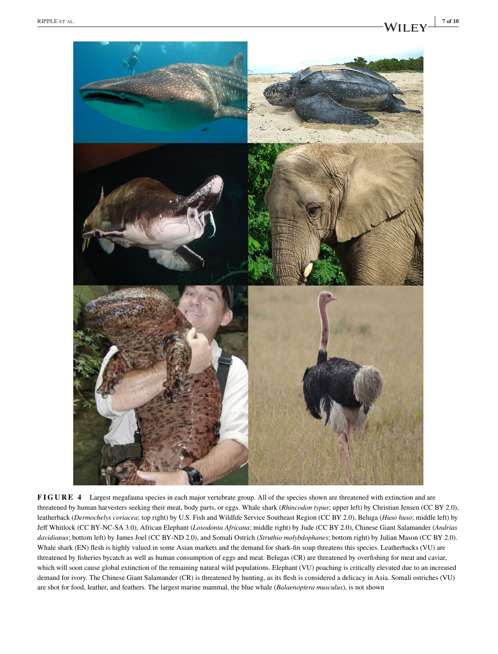

**FIGURE 4** Largest megafauna species in each major vertebrate group. All of the species shown are threatened with extinction and are threatened by human harvesters seeking their meat, body parts, or eggs. Whale shark (*Rhincodon typus*; upper left) by Christian Jensen (CC BY 2.0), leatherback (*Dermochelys coriacea*; top right) by U.S. Fish and Wildlife Service Southeast Region (CC BY 2.0), Beluga (*Huso huso*; middle left) by Jeff Whitlock (CC BY-NC-SA 3.0), African Elephant (*Loxodonta Africana*; middle right) by Jude (CC BY 2.0), Chinese Giant Salamander (*Andrias davidianus*; bottom left) by James Joel (CC BY-ND 2.0), and Somali Ostrich (*Struthio molybdophanes*; bottom right) by Julian Mason (CC BY 2.0). Whale shark (EN) flesh is highly valued in some Asian markets and the demand for shark-fin soup threatens this species. Leatherbacks (VU) are threatened by fisheries bycatch as well as human consumption of eggs and meat. Belugas (CR) are threatened by overfishing for meat and caviar, which will soon cause global extinction of the remaining natural wild populations. Elephant (VU) poaching is critically elevated due to an increased demand for ivory. The Chinese Giant Salamander (CR) is threatened by hunting, as its flesh is considered a delicacy in Asia. Somali ostriches (VU) are shot for food, leather, and feathers. The largest marine mammal, the blue whale (*Balaenoptera musculus*), is not shown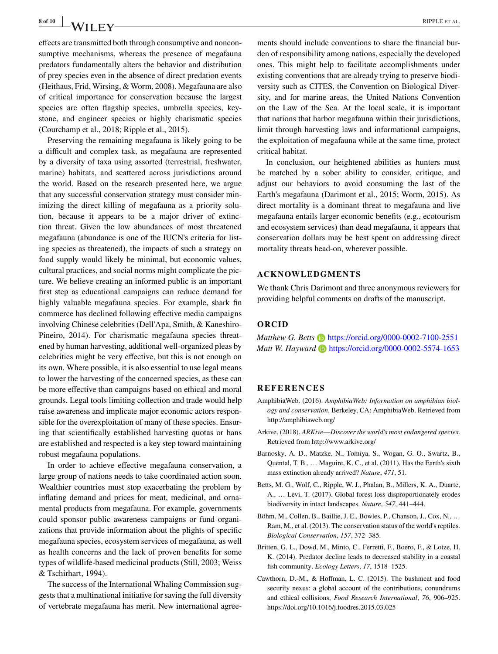**8 of 10** RIPPLE ET AL.

effects are transmitted both through consumptive and nonconsumptive mechanisms, whereas the presence of megafauna predators fundamentally alters the behavior and distribution of prey species even in the absence of direct predation events (Heithaus, Frid, Wirsing, & Worm, 2008). Megafauna are also of critical importance for conservation because the largest species are often flagship species, umbrella species, keystone, and engineer species or highly charismatic species (Courchamp et al., 2018; Ripple et al., 2015).

Preserving the remaining megafauna is likely going to be a difficult and complex task, as megafauna are represented by a diversity of taxa using assorted (terrestrial, freshwater, marine) habitats, and scattered across jurisdictions around the world. Based on the research presented here, we argue that any successful conservation strategy must consider minimizing the direct killing of megafauna as a priority solution, because it appears to be a major driver of extinction threat. Given the low abundances of most threatened megafauna (abundance is one of the IUCN's criteria for listing species as threatened), the impacts of such a strategy on food supply would likely be minimal, but economic values, cultural practices, and social norms might complicate the picture. We believe creating an informed public is an important first step as educational campaigns can reduce demand for highly valuable megafauna species. For example, shark fin commerce has declined following effective media campaigns involving Chinese celebrities (Dell'Apa, Smith, & Kaneshiro-Pineiro, 2014). For charismatic megafauna species threatened by human harvesting, additional well-organized pleas by celebrities might be very effective, but this is not enough on its own. Where possible, it is also essential to use legal means to lower the harvesting of the concerned species, as these can be more effective than campaigns based on ethical and moral grounds. Legal tools limiting collection and trade would help raise awareness and implicate major economic actors responsible for the overexploitation of many of these species. Ensuring that scientifically established harvesting quotas or bans are established and respected is a key step toward maintaining robust megafauna populations.

In order to achieve effective megafauna conservation, a large group of nations needs to take coordinated action soon. Wealthier countries must stop exacerbating the problem by inflating demand and prices for meat, medicinal, and ornamental products from megafauna. For example, governments could sponsor public awareness campaigns or fund organizations that provide information about the plights of specific megafauna species, ecosystem services of megafauna, as well as health concerns and the lack of proven benefits for some types of wildlife-based medicinal products (Still, 2003; Weiss & Tschirhart, 1994).

The success of the International Whaling Commission suggests that a multinational initiative for saving the full diversity of vertebrate megafauna has merit. New international agreements should include conventions to share the financial burden of responsibility among nations, especially the developed ones. This might help to facilitate accomplishments under existing conventions that are already trying to preserve biodiversity such as CITES, the Convention on Biological Diversity, and for marine areas, the United Nations Convention on the Law of the Sea. At the local scale, it is important that nations that harbor megafauna within their jurisdictions, limit through harvesting laws and informational campaigns, the exploitation of megafauna while at the same time, protect critical habitat.

In conclusion, our heightened abilities as hunters must be matched by a sober ability to consider, critique, and adjust our behaviors to avoid consuming the last of the Earth's megafauna (Darimont et al., 2015; Worm, 2015). As direct mortality is a dominant threat to megafauna and live megafauna entails larger economic benefits (e.g., ecotourism and ecosystem services) than dead megafauna, it appears that conservation dollars may be best spent on addressing direct mortality threats head-on, wherever possible.

#### **ACKNOWLEDGMENTS**

We thank Chris Darimont and three anonymous reviewers for providing helpful comments on drafts of the manuscript.

#### **ORCID**

*Matthew G. Betts* **b** <https://orcid.org/0000-0002-7100-2551> *Matt W. Hayward* **b** <https://orcid.org/0000-0002-5574-1653>

#### **REFERENCES**

- AmphibiaWeb. (2016). *AmphibiaWeb: Information on amphibian biology and conservation*. Berkeley, CA: AmphibiaWeb. Retrieved from <http://amphibiaweb.org/>
- Arkive. (2018). *ARKive*—*Discover the world's most endangered species*. Retrieved from<http://www.arkive.org/>
- Barnosky, A. D., Matzke, N., Tomiya, S., Wogan, G. O., Swartz, B., Quental, T. B., … Maguire, K. C., et al. (2011). Has the Earth's sixth mass extinction already arrived? *Nature*, *471*, 51.
- Betts, M. G., Wolf, C., Ripple, W. J., Phalan, B., Millers, K. A., Duarte, A., … Levi, T. (2017). Global forest loss disproportionately erodes biodiversity in intact landscapes. *Nature*, *547*, 441–444.
- Böhm, M., Collen, B., Baillie, J. E., Bowles, P., Chanson, J., Cox, N., … Ram, M., et al. (2013). The conservation status of the world's reptiles. *Biological Conservation*, *157*, 372–385.
- Britten, G. L., Dowd, M., Minto, C., Ferretti, F., Boero, F., & Lotze, H. K. (2014). Predator decline leads to decreased stability in a coastal fish community. *Ecology Letters*, *17*, 1518–1525.
- Cawthorn, D.-M., & Hoffman, L. C. (2015). The bushmeat and food security nexus: a global account of the contributions, conundrums and ethical collisions, *Food Research International*, *76*, 906–925. <https://doi.org/10.1016/j.foodres.2015.03.025>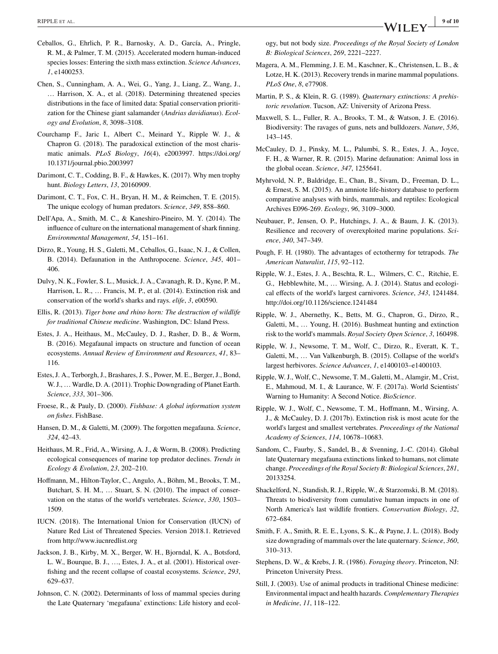- Ceballos, G., Ehrlich, P. R., Barnosky, A. D., García, A., Pringle, R. M., & Palmer, T. M. (2015). Accelerated modern human-induced species losses: Entering the sixth mass extinction. *Science Advances*, *1*, e1400253.
- Chen, S., Cunningham, A. A., Wei, G., Yang, J., Liang, Z., Wang, J., … Harrison, X. A., et al. (2018). Determining threatened species distributions in the face of limited data: Spatial conservation prioritization for the Chinese giant salamander (*Andrias davidianus*). *Ecology and Evolution*, *8*, 3098–3108.
- Courchamp F., Jaric I., Albert C., Meinard Y., Ripple W. J., & Chapron G. (2018). The paradoxical extinction of the most charismatic animals. *PLoS Biology*, *16*(4), e2003997. [https://doi.org/](https://doi.org/10.1371/journal.pbio.2003997) [10.1371/journal.pbio.2003997](https://doi.org/10.1371/journal.pbio.2003997)
- Darimont, C. T., Codding, B. F., & Hawkes, K. (2017). Why men trophy hunt. *Biology Letters*, *13*, 20160909.
- Darimont, C. T., Fox, C. H., Bryan, H. M., & Reimchen, T. E. (2015). The unique ecology of human predators. *Science*, *349*, 858–860.
- Dell'Apa, A., Smith, M. C., & Kaneshiro-Pineiro, M. Y. (2014). The influence of culture on the international management of shark finning. *Environmental Management*, *54*, 151–161.
- Dirzo, R., Young, H. S., Galetti, M., Ceballos, G., Isaac, N. J., & Collen, B. (2014). Defaunation in the Anthropocene. *Science*, *345*, 401– 406.
- Dulvy, N. K., Fowler, S. L., Musick, J. A., Cavanagh, R. D., Kyne, P. M., Harrison, L. R., … Francis, M. P., et al. (2014). Extinction risk and conservation of the world's sharks and rays. *elife*, *3*, e00590.
- Ellis, R. (2013). *Tiger bone and rhino horn: The destruction of wildlife for traditional Chinese medicine*. Washington, DC: Island Press.
- Estes, J. A., Heithaus, M., McCauley, D. J., Rasher, D. B., & Worm, B. (2016). Megafaunal impacts on structure and function of ocean ecosystems. *Annual Review of Environment and Resources*, *41*, 83– 116.
- Estes, J. A., Terborgh, J., Brashares, J. S., Power, M. E., Berger, J., Bond, W. J., … Wardle, D. A. (2011). Trophic Downgrading of Planet Earth. *Science*, *333*, 301–306.
- Froese, R., & Pauly, D. (2000). *Fishbase: A global information system on fishes*. FishBase.
- Hansen, D. M., & Galetti, M. (2009). The forgotten megafauna. *Science*, *324*, 42–43.
- Heithaus, M. R., Frid, A., Wirsing, A. J., & Worm, B. (2008). Predicting ecological consequences of marine top predator declines. *Trends in Ecology & Evolution*, *23*, 202–210.
- Hoffmann, M., Hilton-Taylor, C., Angulo, A., Böhm, M., Brooks, T. M., Butchart, S. H. M., … Stuart, S. N. (2010). The impact of conservation on the status of the world's vertebrates. *Science*, *330*, 1503– 1509.
- IUCN. (2018). The International Union for Conservation (IUCN) of Nature Red List of Threatened Species. Version 2018.1. Retrieved from<http://www.iucnredlist.org>
- Jackson, J. B., Kirby, M. X., Berger, W. H., Bjorndal, K. A., Botsford, L. W., Bourque, B. J., …, Estes, J. A., et al. (2001). Historical overfishing and the recent collapse of coastal ecosystems. *Science*, *293*, 629–637.
- Johnson, C. N. (2002). Determinants of loss of mammal species during the Late Quaternary 'megafauna' extinctions: Life history and ecol-

ogy, but not body size. *Proceedings of the Royal Society of London B: Biological Sciences*, *269*, 2221–2227.

- Magera, A. M., Flemming, J. E. M., Kaschner, K., Christensen, L. B., & Lotze, H. K. (2013). Recovery trends in marine mammal populations. *PLoS One*, *8*, e77908.
- Martin, P. S., & Klein, R. G. (1989). *Quaternary extinctions: A prehistoric revolution*. Tucson, AZ: University of Arizona Press.
- Maxwell, S. L., Fuller, R. A., Brooks, T. M., & Watson, J. E. (2016). Biodiversity: The ravages of guns, nets and bulldozers. *Nature*, *536*, 143–145.
- McCauley, D. J., Pinsky, M. L., Palumbi, S. R., Estes, J. A., Joyce, F. H., & Warner, R. R. (2015). Marine defaunation: Animal loss in the global ocean. *Science*, *347*, 1255641.
- Myhrvold, N. P., Baldridge, E., Chan, B., Sivam, D., Freeman, D. L., & Ernest, S. M. (2015). An amniote life-history database to perform comparative analyses with birds, mammals, and reptiles: Ecological Archives E096-269. *Ecology*, *96*, 3109–3000.
- Neubauer, P., Jensen, O. P., Hutchings, J. A., & Baum, J. K. (2013). Resilience and recovery of overexploited marine populations. *Science*, *340*, 347–349.
- Pough, F. H. (1980). The advantages of ectothermy for tetrapods. *The American Naturalist*, *115*, 92–112.
- Ripple, W. J., Estes, J. A., Beschta, R. L., Wilmers, C. C., Ritchie, E. G., Hebblewhite, M., … Wirsing, A. J. (2014). Status and ecological effects of the world's largest carnivores. *Science*, *343*, 1241484. <http://doi.org/10.1126/science.1241484>
- Ripple, W. J., Abernethy, K., Betts, M. G., Chapron, G., Dirzo, R., Galetti, M., … Young, H. (2016). Bushmeat hunting and extinction risk to the world's mammals. *Royal Society Open Science*, *3*, 160498.
- Ripple, W. J., Newsome, T. M., Wolf, C., Dirzo, R., Everatt, K. T., Galetti, M., … Van Valkenburgh, B. (2015). Collapse of the world's largest herbivores. *Science Advances*, *1*, e1400103–e1400103.
- Ripple, W. J., Wolf, C., Newsome, T. M., Galetti, M., Alamgir, M., Crist, E., Mahmoud, M. I., & Laurance, W. F. (2017a). World Scientists' Warning to Humanity: A Second Notice. *BioScience*.
- Ripple, W. J., Wolf, C., Newsome, T. M., Hoffmann, M., Wirsing, A. J., & McCauley, D. J. (2017b). Extinction risk is most acute for the world's largest and smallest vertebrates. *Proceedings of the National Academy of Sciences*, *114*, 10678–10683.
- Sandom, C., Faurby, S., Sandel, B., & Svenning, J.-C. (2014). Global late Quaternary megafauna extinctions linked to humans, not climate change. *Proceedings of the Royal Society B: Biological Sciences*, *281*, 20133254.
- Shackelford, N., Standish, R. J., Ripple, W., & Starzomski, B. M. (2018). Threats to biodiversity from cumulative human impacts in one of North America's last wildlife frontiers. *Conservation Biology*, *32*, 672–684.
- Smith, F. A., Smith, R. E. E., Lyons, S. K., & Payne, J. L. (2018). Body size downgrading of mammals over the late quaternary. *Science*, *360*, 310–313.
- Stephens, D. W., & Krebs, J. R. (1986). *Foraging theory*. Princeton, NJ: Princeton University Press.
- Still, J. (2003). Use of animal products in traditional Chinese medicine: Environmental impact and health hazards. *Complementary Therapies in Medicine*, *11*, 118–122.